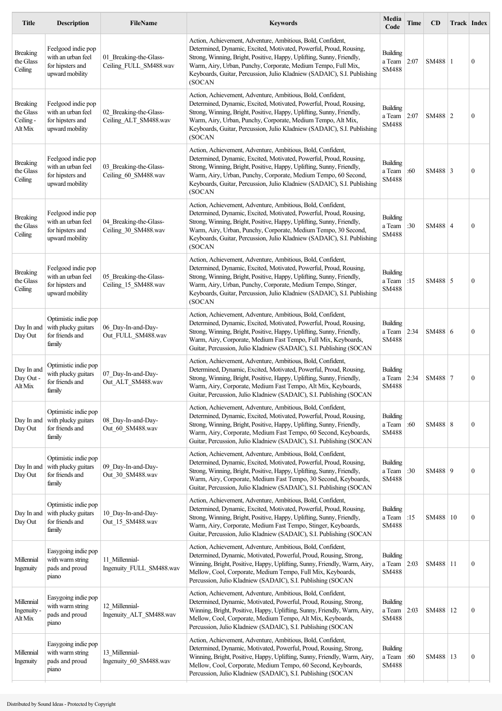| <b>Title</b>                                         | <b>Description</b>                                                              | <b>FileName</b>                                  | <b>Keywords</b>                                                                                                                                                                                                                                                                                                                                                   | Media<br>Code                             | Time | <b>CD</b>  | <b>Track Index</b> |                  |
|------------------------------------------------------|---------------------------------------------------------------------------------|--------------------------------------------------|-------------------------------------------------------------------------------------------------------------------------------------------------------------------------------------------------------------------------------------------------------------------------------------------------------------------------------------------------------------------|-------------------------------------------|------|------------|--------------------|------------------|
| <b>Breaking</b><br>the Glass<br>Ceiling              | Feelgood indie pop<br>with an urban feel<br>for hipsters and<br>upward mobility | 01_Breaking-the-Glass-<br>Ceiling_FULL_SM488.wav | Action, Achievement, Adventure, Ambitious, Bold, Confident,<br>Determined, Dynamic, Excited, Motivated, Powerful, Proud, Rousing,<br>Strong, Winning, Bright, Positive, Happy, Uplifting, Sunny, Friendly,<br>Warm, Airy, Urban, Punchy, Corporate, Medium Tempo, Full Mix,<br>Keyboards, Guitar, Percussion, Julio Kladniew (SADAIC), S.I. Publishing<br>(SOCAN  | Building<br>a Team<br>SM488               | 2:07 | SM488 1    |                    | $\mathbf{0}$     |
| <b>Breaking</b><br>the Glass<br>Ceiling -<br>Alt Mix | Feelgood indie pop<br>with an urban feel<br>for hipsters and<br>upward mobility | 02 Breaking-the-Glass-<br>Ceiling_ALT_SM488.wav  | Action, Achievement, Adventure, Ambitious, Bold, Confident,<br>Determined, Dynamic, Excited, Motivated, Powerful, Proud, Rousing,<br>Strong, Winning, Bright, Positive, Happy, Uplifting, Sunny, Friendly,<br>Warm, Airy, Urban, Punchy, Corporate, Medium Tempo, Alt Mix,<br>Keyboards, Guitar, Percussion, Julio Kladniew (SADAIC), S.I. Publishing<br>(SOCAN   | <b>Building</b><br>a Team<br><b>SM488</b> | 2:07 | SM488 2    |                    | $\boldsymbol{0}$ |
| <b>Breaking</b><br>the Glass<br>Ceiling              | Feelgood indie pop<br>with an urban feel<br>for hipsters and<br>upward mobility | 03 Breaking-the-Glass-<br>Ceiling 60_SM488.wav   | Action, Achievement, Adventure, Ambitious, Bold, Confident,<br>Determined, Dynamic, Excited, Motivated, Powerful, Proud, Rousing,<br>Strong, Winning, Bright, Positive, Happy, Uplifting, Sunny, Friendly,<br>Warm, Airy, Urban, Punchy, Corporate, Medium Tempo, 60 Second,<br>Keyboards, Guitar, Percussion, Julio Kladniew (SADAIC), S.I. Publishing<br>(SOCAN | Building<br>a Team<br><b>SM488</b>        | :60  | $SM488$ 3  |                    | $\mathbf{0}$     |
| <b>Breaking</b><br>the Glass<br>Ceiling              | Feelgood indie pop<br>with an urban feel<br>for hipsters and<br>upward mobility | 04 Breaking-the-Glass-<br>Ceiling_30_SM488.wav   | Action, Achievement, Adventure, Ambitious, Bold, Confident,<br>Determined, Dynamic, Excited, Motivated, Powerful, Proud, Rousing,<br>Strong, Winning, Bright, Positive, Happy, Uplifting, Sunny, Friendly,<br>Warm, Airy, Urban, Punchy, Corporate, Medium Tempo, 30 Second,<br>Keyboards, Guitar, Percussion, Julio Kladniew (SADAIC), S.I. Publishing<br>(SOCAN | Building<br>a Team<br>SM488               | :30  | SM488 4    |                    | $\mathbf{0}$     |
| <b>Breaking</b><br>the Glass<br>Ceiling              | Feelgood indie pop<br>with an urban feel<br>for hipsters and<br>upward mobility | 05_Breaking-the-Glass-<br>Ceiling 15 SM488.wav   | Action, Achievement, Adventure, Ambitious, Bold, Confident,<br>Determined, Dynamic, Excited, Motivated, Powerful, Proud, Rousing,<br>Strong, Winning, Bright, Positive, Happy, Uplifting, Sunny, Friendly,<br>Warm, Airy, Urban, Punchy, Corporate, Medium Tempo, Stinger,<br>Keyboards, Guitar, Percussion, Julio Kladniew (SADAIC), S.I. Publishing<br>(SOCAN   | Building<br>a Team<br>SM488               | :15  | SM488 5    |                    | $\mathbf{0}$     |
| Day In and<br>Day Out                                | Optimistic indie pop<br>with plucky guitars<br>for friends and<br>family        | 06 Day-In-and-Day-<br>Out FULL SM488.wav         | Action, Achievement, Adventure, Ambitious, Bold, Confident,<br>Determined, Dynamic, Excited, Motivated, Powerful, Proud, Rousing,<br>Strong, Winning, Bright, Positive, Happy, Uplifting, Sunny, Friendly,<br>Warm, Airy, Corporate, Medium Fast Tempo, Full Mix, Keyboards,<br>Guitar, Percussion, Julio Kladniew (SADAIC), S.I. Publishing (SOCAN               | Building<br>a Team<br>SM488               | 2:34 | SM488 6    |                    | $\mathbf{0}$     |
| Day In and<br>Day Out -<br>Alt Mix                   | Optimistic indie pop<br>with plucky guitars<br>for friends and<br>family        | 07 Day-In-and-Day-<br>Out ALT SM488.wav          | Action, Achievement, Adventure, Ambitious, Bold, Confident,<br>Determined, Dynamic, Excited, Motivated, Powerful, Proud, Rousing,<br>Strong, Winning, Bright, Positive, Happy, Uplifting, Sunny, Friendly,<br>Warm, Airy, Corporate, Medium Fast Tempo, Alt Mix, Keyboards,<br>Guitar, Percussion, Julio Kladniew (SADAIC), S.I. Publishing (SOCAN                | Building<br>a Team<br>SM488               | 2:34 | SM488 7    |                    | $\boldsymbol{0}$ |
| Day In and<br>Day Out                                | Optimistic indie pop<br>with plucky guitars<br>for friends and<br>family        | 08 Day-In-and-Day-<br>Out_60_SM488.wav           | Action, Achievement, Adventure, Ambitious, Bold, Confident,<br>Determined, Dynamic, Excited, Motivated, Powerful, Proud, Rousing,<br>Strong, Winning, Bright, Positive, Happy, Uplifting, Sunny, Friendly,<br>Warm, Airy, Corporate, Medium Fast Tempo, 60 Second, Keyboards,<br>Guitar, Percussion, Julio Kladniew (SADAIC), S.I. Publishing (SOCAN              | Building<br>a Team<br><b>SM488</b>        | :60  | SM488 8    |                    | $\mathbf{0}$     |
| Day In and<br>Day Out                                | Optimistic indie pop<br>with plucky guitars<br>for friends and<br>family        | 09 Day-In-and-Day-<br>Out 30 SM488.wav           | Action, Achievement, Adventure, Ambitious, Bold, Confident,<br>Determined, Dynamic, Excited, Motivated, Powerful, Proud, Rousing,<br>Strong, Winning, Bright, Positive, Happy, Uplifting, Sunny, Friendly,<br>Warm, Airy, Corporate, Medium Fast Tempo, 30 Second, Keyboards,<br>Guitar, Percussion, Julio Kladniew (SADAIC), S.I. Publishing (SOCAN              | Building<br>a Team<br>SM488               | :30  | SM488 9    |                    | $\mathbf{0}$     |
| Day In and<br>Day Out                                | Optimistic indie pop<br>with plucky guitars<br>for friends and<br>family        | 10 Day-In-and-Day-<br>Out_15_SM488.wav           | Action, Achievement, Adventure, Ambitious, Bold, Confident,<br>Determined, Dynamic, Excited, Motivated, Powerful, Proud, Rousing,<br>Strong, Winning, Bright, Positive, Happy, Uplifting, Sunny, Friendly,<br>Warm, Airy, Corporate, Medium Fast Tempo, Stinger, Keyboards,<br>Guitar, Percussion, Julio Kladniew (SADAIC), S.I. Publishing (SOCAN                | Building<br>a Team<br>SM488               | :15  | SM488   10 |                    | $\mathbf{0}$     |
| Millennial<br>Ingenuity                              | Easygoing indie pop<br>with warm string<br>pads and proud<br>piano              | 11 Millennial-<br>Ingenuity_FULL_SM488.wav       | Action, Achievement, Adventure, Ambitious, Bold, Confident,<br>Determined, Dynamic, Motivated, Powerful, Proud, Rousing, Strong,<br>Winning, Bright, Positive, Happy, Uplifting, Sunny, Friendly, Warm, Airy,<br>Mellow, Cool, Corporate, Medium Tempo, Full Mix, Keyboards,<br>Percussion, Julio Kladniew (SADAIC), S.I. Publishing (SOCAN                       | Building<br>a Team<br><b>SM488</b>        | 2:03 | SM488   11 |                    | $\mathbf{0}$     |
| Millennial<br>Ingenuity<br>Alt Mix                   | Easygoing indie pop<br>with warm string<br>pads and proud<br>piano              | 12_Millennial-<br>Ingenuity_ALT_SM488.wav        | Action, Achievement, Adventure, Ambitious, Bold, Confident,<br>Determined, Dynamic, Motivated, Powerful, Proud, Rousing, Strong,<br>Winning, Bright, Positive, Happy, Uplifting, Sunny, Friendly, Warm, Airy,<br>Mellow, Cool, Corporate, Medium Tempo, Alt Mix, Keyboards,<br>Percussion, Julio Kladniew (SADAIC), S.I. Publishing (SOCAN                        | <b>Building</b><br>a Team<br>SM488        | 2:03 | SM488   12 |                    | $\mathbf{0}$     |
| Millennial<br>Ingenuity                              | Easygoing indie pop<br>with warm string<br>pads and proud<br>piano              | 13 Millennial-<br>Ingenuity_60_SM488.wav         | Action, Achievement, Adventure, Ambitious, Bold, Confident,<br>Determined, Dynamic, Motivated, Powerful, Proud, Rousing, Strong,<br>Winning, Bright, Positive, Happy, Uplifting, Sunny, Friendly, Warm, Airy,<br>Mellow, Cool, Corporate, Medium Tempo, 60 Second, Keyboards,<br>Percussion, Julio Kladniew (SADAIC), S.I. Publishing (SOCAN                      | <b>Building</b><br>a Team<br>SM488        | :60  | SM488   13 |                    | $\mathbf{0}$     |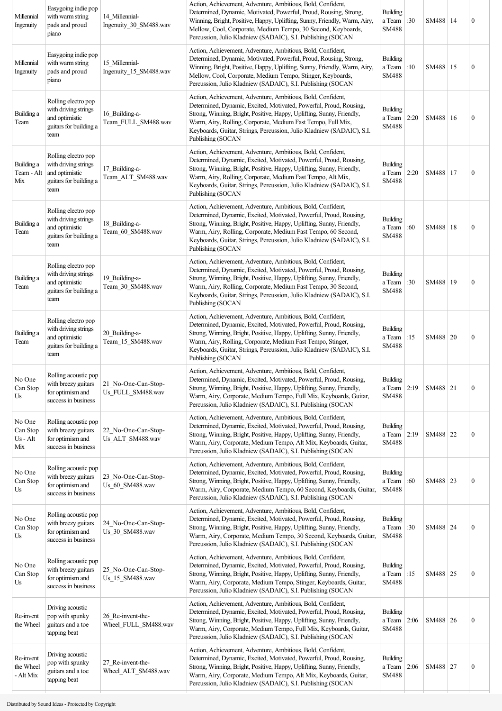| Millennial<br>Ingenuity                 | Easygoing indie pop<br>with warm string<br>pads and proud<br>piano                              | 14 Millennial-<br>Ingenuity 30 SM488.wav  | Action, Achievement, Adventure, Ambitious, Bold, Confident,<br>Determined, Dynamic, Motivated, Powerful, Proud, Rousing, Strong,<br>Winning, Bright, Positive, Happy, Uplifting, Sunny, Friendly, Warm, Airy,<br>Mellow, Cool, Corporate, Medium Tempo, 30 Second, Keyboards,<br>Percussion, Julio Kladniew (SADAIC), S.I. Publishing (SOCAN                              | <b>Building</b><br>a Team<br><b>SM488</b>  | :30  | SM488   14 |    | $\boldsymbol{0}$ |
|-----------------------------------------|-------------------------------------------------------------------------------------------------|-------------------------------------------|---------------------------------------------------------------------------------------------------------------------------------------------------------------------------------------------------------------------------------------------------------------------------------------------------------------------------------------------------------------------------|--------------------------------------------|------|------------|----|------------------|
| Millennial<br>Ingenuity                 | Easygoing indie pop<br>with warm string<br>pads and proud<br>piano                              | 15 Millennial-<br>Ingenuity_15_SM488.wav  | Action, Achievement, Adventure, Ambitious, Bold, Confident,<br>Determined, Dynamic, Motivated, Powerful, Proud, Rousing, Strong,<br>Winning, Bright, Positive, Happy, Uplifting, Sunny, Friendly, Warm, Airy,<br>Mellow, Cool, Corporate, Medium Tempo, Stinger, Keyboards,<br>Percussion, Julio Kladniew (SADAIC), S.I. Publishing (SOCAN                                | <b>Building</b><br>a Team<br><b>SM488</b>  | :10  | SM488   15 |    | $\boldsymbol{0}$ |
| Building a<br>Team                      | Rolling electro pop<br>with driving strings<br>and optimistic<br>guitars for building a<br>team | 16 Building-a-<br>Team_FULL_SM488.wav     | Action, Achievement, Adventure, Ambitious, Bold, Confident,<br>Determined, Dynamic, Excited, Motivated, Powerful, Proud, Rousing,<br>Strong, Winning, Bright, Positive, Happy, Uplifting, Sunny, Friendly,<br>Warm, Airy, Rolling, Corporate, Medium Fast Tempo, Full Mix,<br>Keyboards, Guitar, Strings, Percussion, Julio Kladniew (SADAIC), S.I.<br>Publishing (SOCAN  | Building<br>a Team<br><b>SM488</b>         | 2:20 | SM488   16 |    | $\boldsymbol{0}$ |
| Building a<br>Team - Alt<br>Mix         | Rolling electro pop<br>with driving strings<br>and optimistic<br>guitars for building a<br>team | 17 Building-a-<br>Team_ALT_SM488.wav      | Action, Achievement, Adventure, Ambitious, Bold, Confident,<br>Determined, Dynamic, Excited, Motivated, Powerful, Proud, Rousing,<br>Strong, Winning, Bright, Positive, Happy, Uplifting, Sunny, Friendly,<br>Warm, Airy, Rolling, Corporate, Medium Fast Tempo, Alt Mix,<br>Keyboards, Guitar, Strings, Percussion, Julio Kladniew (SADAIC), S.I.<br>Publishing (SOCAN   | Building<br>a Team<br><b>SM488</b>         | 2:20 | SM488   17 |    | $\boldsymbol{0}$ |
| Building a<br>Team                      | Rolling electro pop<br>with driving strings<br>and optimistic<br>guitars for building a<br>team | 18 Building-a-<br>Team_60_SM488.wav       | Action, Achievement, Adventure, Ambitious, Bold, Confident,<br>Determined, Dynamic, Excited, Motivated, Powerful, Proud, Rousing,<br>Strong, Winning, Bright, Positive, Happy, Uplifting, Sunny, Friendly,<br>Warm, Airy, Rolling, Corporate, Medium Fast Tempo, 60 Second,<br>Keyboards, Guitar, Strings, Percussion, Julio Kladniew (SADAIC), S.I.<br>Publishing (SOCAN | Building<br>a Team<br>SM488                | :60  | SM488      | 18 | $\boldsymbol{0}$ |
| Building a<br>Team                      | Rolling electro pop<br>with driving strings<br>and optimistic<br>guitars for building a<br>team | 19 Building-a-<br>Team_30_SM488.wav       | Action, Achievement, Adventure, Ambitious, Bold, Confident,<br>Determined, Dynamic, Excited, Motivated, Powerful, Proud, Rousing,<br>Strong, Winning, Bright, Positive, Happy, Uplifting, Sunny, Friendly,<br>Warm, Airy, Rolling, Corporate, Medium Fast Tempo, 30 Second,<br>Keyboards, Guitar, Strings, Percussion, Julio Kladniew (SADAIC), S.I.<br>Publishing (SOCAN | <b>Building</b><br>a Team<br><b>SM488</b>  | :30  | SM488   19 |    | $\boldsymbol{0}$ |
| Building a<br>Team                      | Rolling electro pop<br>with driving strings<br>and optimistic<br>guitars for building a<br>team | 20 Building-a-<br>Team_15_SM488.wav       | Action, Achievement, Adventure, Ambitious, Bold, Confident,<br>Determined, Dynamic, Excited, Motivated, Powerful, Proud, Rousing,<br>Strong, Winning, Bright, Positive, Happy, Uplifting, Sunny, Friendly,<br>Warm, Airy, Rolling, Corporate, Medium Fast Tempo, Stinger,<br>Keyboards, Guitar, Strings, Percussion, Julio Kladniew (SADAIC), S.I.<br>Publishing (SOCAN   | Building<br>a Team<br><b>SM488</b>         | :15  | SM488   20 |    | $\boldsymbol{0}$ |
| No One<br>Can Stop<br>Us                | Rolling acoustic pop<br>with breezy guitars<br>for optimism and<br>success in business          | 21_No-One-Can-Stop-<br>Us FULL SM488.wav  | Action, Achievement, Adventure, Ambitious, Bold, Confident,<br>Determined, Dynamic, Excited, Motivated, Powerful, Proud, Rousing,<br>Strong, Winning, Bright, Positive, Happy, Uplifting, Sunny, Friendly,<br>Warm, Airy, Corporate, Medium Tempo, Full Mix, Keyboards, Guitar,<br>Percussion, Julio Kladniew (SADAIC), S.I. Publishing (SOCAN                            | Building<br>a Team $ 2:19$<br><b>SM488</b> |      | SM488 21   |    | $\boldsymbol{0}$ |
| No One<br>Can Stop<br>$Us - Alt$<br>Mix | Rolling acoustic pop<br>with breezy guitars<br>for optimism and<br>success in business          | 22 No-One-Can-Stop-<br>Us_ALT_SM488.wav   | Action, Achievement, Adventure, Ambitious, Bold, Confident,<br>Determined, Dynamic, Excited, Motivated, Powerful, Proud, Rousing,<br>Strong, Winning, Bright, Positive, Happy, Uplifting, Sunny, Friendly,<br>Warm, Airy, Corporate, Medium Tempo, Alt Mix, Keyboards, Guitar,<br>Percussion, Julio Kladniew (SADAIC), S.I. Publishing (SOCAN                             | Building<br>a Team<br><b>SM488</b>         | 2:19 | SM488 22   |    | $\boldsymbol{0}$ |
| No One<br>Can Stop<br>Us                | Rolling acoustic pop<br>with breezy guitars<br>for optimism and<br>success in business          | 23 No-One-Can-Stop-<br>Us_60_SM488.wav    | Action, Achievement, Adventure, Ambitious, Bold, Confident,<br>Determined, Dynamic, Excited, Motivated, Powerful, Proud, Rousing,<br>Strong, Winning, Bright, Positive, Happy, Uplifting, Sunny, Friendly,<br>Warm, Airy, Corporate, Medium Tempo, 60 Second, Keyboards, Guitar,<br>Percussion, Julio Kladniew (SADAIC), S.I. Publishing (SOCAN                           | <b>Building</b><br>a Team<br>SM488         | :60  | SM488 23   |    | $\boldsymbol{0}$ |
| No One<br>Can Stop<br>Us                | Rolling acoustic pop<br>with breezy guitars<br>for optimism and<br>success in business          | 24 No-One-Can-Stop-<br>Us 30 SM488.wav    | Action, Achievement, Adventure, Ambitious, Bold, Confident,<br>Determined, Dynamic, Excited, Motivated, Powerful, Proud, Rousing,<br>Strong, Winning, Bright, Positive, Happy, Uplifting, Sunny, Friendly,<br>Warm, Airy, Corporate, Medium Tempo, 30 Second, Keyboards, Guitar,<br>Percussion, Julio Kladniew (SADAIC), S.I. Publishing (SOCAN                           | <b>Building</b><br>a Team<br><b>SM488</b>  | :30  | SM488 24   |    | $\boldsymbol{0}$ |
| No One<br>Can Stop<br>Us                | Rolling acoustic pop<br>with breezy guitars<br>for optimism and<br>success in business          | 25 No-One-Can-Stop-<br>Us_15_SM488.wav    | Action, Achievement, Adventure, Ambitious, Bold, Confident,<br>Determined, Dynamic, Excited, Motivated, Powerful, Proud, Rousing,<br>Strong, Winning, Bright, Positive, Happy, Uplifting, Sunny, Friendly,<br>Warm, Airy, Corporate, Medium Tempo, Stinger, Keyboards, Guitar,<br>Percussion, Julio Kladniew (SADAIC), S.I. Publishing (SOCAN                             | <b>Building</b><br>a Team<br>SM488         | :15  | SM488 25   |    | $\boldsymbol{0}$ |
| Re-invent<br>the Wheel                  | Driving acoustic<br>pop with spunky<br>guitars and a toe<br>tapping beat                        | 26_Re-invent-the-<br>Wheel_FULL_SM488.wav | Action, Achievement, Adventure, Ambitious, Bold, Confident,<br>Determined, Dynamic, Excited, Motivated, Powerful, Proud, Rousing,<br>Strong, Winning, Bright, Positive, Happy, Uplifting, Sunny, Friendly,<br>Warm, Airy, Corporate, Medium Tempo, Full Mix, Keyboards, Guitar,<br>Percussion, Julio Kladniew (SADAIC), S.I. Publishing (SOCAN                            | <b>Building</b><br>a Team<br>SM488         | 2:06 | SM488 26   |    | $\boldsymbol{0}$ |
| Re-invent<br>the Wheel<br>- Alt Mix     | Driving acoustic<br>pop with spunky<br>guitars and a toe<br>tapping beat                        | 27 Re-invent-the-<br>Wheel_ALT_SM488.wav  | Action, Achievement, Adventure, Ambitious, Bold, Confident,<br>Determined, Dynamic, Excited, Motivated, Powerful, Proud, Rousing,<br>Strong, Winning, Bright, Positive, Happy, Uplifting, Sunny, Friendly,<br>Warm, Airy, Corporate, Medium Tempo, Alt Mix, Keyboards, Guitar,<br>Percussion, Julio Kladniew (SADAIC), S.I. Publishing (SOCAN                             | Building<br>a Team<br>SM488                | 2:06 | SM488 27   |    | $\boldsymbol{0}$ |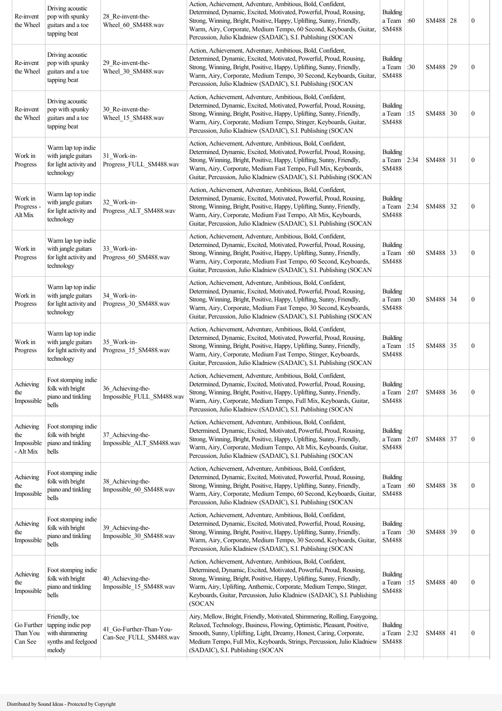| Re-invent<br>the Wheel                      | Driving acoustic<br>pop with spunky<br>guitars and a toe<br>tapping beat               | 28 Re-invent-the-<br>Wheel_60_SM488.wav           | Action, Achievement, Adventure, Ambitious, Bold, Confident,<br>Determined, Dynamic, Excited, Motivated, Powerful, Proud, Rousing,<br>Strong, Winning, Bright, Positive, Happy, Uplifting, Sunny, Friendly,<br>Warm, Airy, Corporate, Medium Tempo, 60 Second, Keyboards, Guitar,<br>Percussion, Julio Kladniew (SADAIC), S.I. Publishing (SOCAN                       | <b>Building</b><br>a Team<br><b>SM488</b> | :60  | SM488 28   | $\boldsymbol{0}$ |
|---------------------------------------------|----------------------------------------------------------------------------------------|---------------------------------------------------|-----------------------------------------------------------------------------------------------------------------------------------------------------------------------------------------------------------------------------------------------------------------------------------------------------------------------------------------------------------------------|-------------------------------------------|------|------------|------------------|
| Re-invent<br>the Wheel                      | Driving acoustic<br>pop with spunky<br>guitars and a toe<br>tapping beat               | 29_Re-invent-the-<br>Wheel 30 SM488.wav           | Action, Achievement, Adventure, Ambitious, Bold, Confident,<br>Determined, Dynamic, Excited, Motivated, Powerful, Proud, Rousing,<br>Strong, Winning, Bright, Positive, Happy, Uplifting, Sunny, Friendly,<br>Warm, Airy, Corporate, Medium Tempo, 30 Second, Keyboards, Guitar,<br>Percussion, Julio Kladniew (SADAIC), S.I. Publishing (SOCAN                       | <b>Building</b><br>a Team<br><b>SM488</b> | :30  | SM488 29   | $\boldsymbol{0}$ |
| Re-invent<br>the Wheel                      | Driving acoustic<br>pop with spunky<br>guitars and a toe<br>tapping beat               | 30 Re-invent-the-<br>Wheel_15_SM488.wav           | Action, Achievement, Adventure, Ambitious, Bold, Confident,<br>Determined, Dynamic, Excited, Motivated, Powerful, Proud, Rousing,<br>Strong, Winning, Bright, Positive, Happy, Uplifting, Sunny, Friendly,<br>Warm, Airy, Corporate, Medium Tempo, Stinger, Keyboards, Guitar,<br>Percussion, Julio Kladniew (SADAIC), S.I. Publishing (SOCAN                         | <b>Building</b><br>a Team<br><b>SM488</b> | :15  | SM488 30   | $\mathbf{0}$     |
| Work in<br>Progress                         | Warm lap top indie<br>with jangle guitars<br>for light activity and<br>technology      | 31_Work-in-<br>Progress_FULL_SM488.wav            | Action, Achievement, Adventure, Ambitious, Bold, Confident,<br>Determined, Dynamic, Excited, Motivated, Powerful, Proud, Rousing,<br>Strong, Winning, Bright, Positive, Happy, Uplifting, Sunny, Friendly,<br>Warm, Airy, Corporate, Medium Fast Tempo, Full Mix, Keyboards,<br>Guitar, Percussion, Julio Kladniew (SADAIC), S.I. Publishing (SOCAN                   | Building<br>a Team<br>SM488               | 2:34 | SM488 31   | $\boldsymbol{0}$ |
| Work in<br>Progress<br>Alt Mix              | Warm lap top indie<br>with jangle guitars<br>for light activity and<br>technology      | 32 Work-in-<br>Progress_ALT_SM488.wav             | Action, Achievement, Adventure, Ambitious, Bold, Confident,<br>Determined, Dynamic, Excited, Motivated, Powerful, Proud, Rousing,<br>Strong, Winning, Bright, Positive, Happy, Uplifting, Sunny, Friendly,<br>Warm, Airy, Corporate, Medium Fast Tempo, Alt Mix, Keyboards,<br>Guitar, Percussion, Julio Kladniew (SADAIC), S.I. Publishing (SOCAN                    | Building<br>a Team<br>SM488               | 2:34 | SM488 32   | $\boldsymbol{0}$ |
| Work in<br>Progress                         | Warm lap top indie<br>with jangle guitars<br>for light activity and<br>technology      | 33 Work-in-<br>Progress 60 SM488.wav              | Action, Achievement, Adventure, Ambitious, Bold, Confident,<br>Determined, Dynamic, Excited, Motivated, Powerful, Proud, Rousing,<br>Strong, Winning, Bright, Positive, Happy, Uplifting, Sunny, Friendly,<br>Warm, Airy, Corporate, Medium Fast Tempo, 60 Second, Keyboards,<br>Guitar, Percussion, Julio Kladniew (SADAIC), S.I. Publishing (SOCAN                  | Building<br>a Team<br><b>SM488</b>        | :60  | SM488 33   | $\mathbf{0}$     |
| Work in<br>Progress                         | Warm lap top indie<br>with jangle guitars<br>for light activity and<br>technology      | 34 Work-in-<br>Progress 30 SM488.wav              | Action, Achievement, Adventure, Ambitious, Bold, Confident,<br>Determined, Dynamic, Excited, Motivated, Powerful, Proud, Rousing,<br>Strong, Winning, Bright, Positive, Happy, Uplifting, Sunny, Friendly,<br>Warm, Airy, Corporate, Medium Fast Tempo, 30 Second, Keyboards,<br>Guitar, Percussion, Julio Kladniew (SADAIC), S.I. Publishing (SOCAN                  | <b>Building</b><br>a Team<br>SM488        | :30  | SM488 34   | $\mathbf{0}$     |
| Work in<br>Progress                         | Warm lap top indie<br>with jangle guitars<br>for light activity and<br>technology      | 35 Work-in-<br>Progress 15 SM488.wav              | Action, Achievement, Adventure, Ambitious, Bold, Confident,<br>Determined, Dynamic, Excited, Motivated, Powerful, Proud, Rousing,<br>Strong, Winning, Bright, Positive, Happy, Uplifting, Sunny, Friendly,<br>Warm, Airy, Corporate, Medium Fast Tempo, Stinger, Keyboards,<br>Guitar, Percussion, Julio Kladniew (SADAIC), S.I. Publishing (SOCAN                    | <b>Building</b><br>a Team<br><b>SM488</b> | :15  | SM488 35   | $\boldsymbol{0}$ |
| Achieving<br>the<br>Impossible              | Foot stomping indie<br>folk with bright<br>piano and tinkling<br>bells                 | 36_Achieving-the-<br>Impossible_FULL_SM488.wav    | Action, Achievement, Adventure, Ambitious, Bold, Confident,<br>Determined, Dynamic, Excited, Motivated, Powerful, Proud, Rousing,<br>Strong, Winning, Bright, Positive, Happy, Uplifting, Sunny, Friendly,<br>Warm, Airy, Corporate, Medium Tempo, Full Mix, Keyboards, Guitar,<br>Percussion, Julio Kladniew (SADAIC), S.I. Publishing (SOCAN                        | <b>Building</b><br>a Team<br><b>SM488</b> | 2:07 | SM488 36   | $\mathbf{0}$     |
| Achieving<br>the<br>Impossible<br>- Alt Mix | Foot stomping indie<br>folk with bright<br>piano and tinkling<br>bells                 | 37 Achieving-the-<br>Impossible ALT SM488.wav     | Action, Achievement, Adventure, Ambitious, Bold, Confident,<br>Determined, Dynamic, Excited, Motivated, Powerful, Proud, Rousing,<br>Strong, Winning, Bright, Positive, Happy, Uplifting, Sunny, Friendly,<br>Warm, Airy, Corporate, Medium Tempo, Alt Mix, Keyboards, Guitar,<br>Percussion, Julio Kladniew (SADAIC), S.I. Publishing (SOCAN                         | Building<br>a Team<br>SM488               | 2:07 | SM488 37   | $\boldsymbol{0}$ |
| Achieving<br>the<br>Impossible              | Foot stomping indie<br>folk with bright<br>piano and tinkling<br>bells                 | 38_Achieving-the-<br>Impossible_60_SM488.wav      | Action, Achievement, Adventure, Ambitious, Bold, Confident,<br>Determined, Dynamic, Excited, Motivated, Powerful, Proud, Rousing,<br>Strong, Winning, Bright, Positive, Happy, Uplifting, Sunny, Friendly,<br>Warm, Airy, Corporate, Medium Tempo, 60 Second, Keyboards, Guitar,<br>Percussion, Julio Kladniew (SADAIC), S.I. Publishing (SOCAN                       | <b>Building</b><br>a Team<br>SM488        | :60  | SM488 38   | $\boldsymbol{0}$ |
| Achieving<br>the<br>Impossible              | Foot stomping indie<br>folk with bright<br>piano and tinkling<br>bells                 | 39_Achieving-the-<br>Impossible_30_SM488.wav      | Action, Achievement, Adventure, Ambitious, Bold, Confident,<br>Determined, Dynamic, Excited, Motivated, Powerful, Proud, Rousing,<br>Strong, Winning, Bright, Positive, Happy, Uplifting, Sunny, Friendly,<br>Warm, Airy, Corporate, Medium Tempo, 30 Second, Keyboards, Guitar,<br>Percussion, Julio Kladniew (SADAIC), S.I. Publishing (SOCAN                       | <b>Building</b><br>a Team<br>SM488        | :30  | SM488 39   | $\boldsymbol{0}$ |
| Achieving<br>the<br>Impossible              | Foot stomping indie<br>folk with bright<br>piano and tinkling<br>bells                 | 40_Achieving-the-<br>Impossible_15_SM488.wav      | Action, Achievement, Adventure, Ambitious, Bold, Confident,<br>Determined, Dynamic, Excited, Motivated, Powerful, Proud, Rousing,<br>Strong, Winning, Bright, Positive, Happy, Uplifting, Sunny, Friendly,<br>Warm, Airy, Uplifting, Anthemic, Corporate, Medium Tempo, Stinger,<br>Keyboards, Guitar, Percussion, Julio Kladniew (SADAIC), S.I. Publishing<br>(SOCAN | <b>Building</b><br>a Team<br><b>SM488</b> | :15  | SM488   40 | $\boldsymbol{0}$ |
| Go Further<br>Than You<br>Can See           | Friendly, toe<br>tapping indie pop<br>with shimmering<br>synths and feelgood<br>melody | 41 Go-Further-Than-You-<br>Can-See_FULL_SM488.wav | Airy, Mellow, Bright, Friendly, Motivated, Shimmering, Rolling, Easygoing,<br>Relaxed, Technology, Business, Flowing, Optimistic, Pleasant, Positive,<br>Smooth, Sunny, Uplifting, Light, Dreamy, Honest, Caring, Corporate,<br>Medium Tempo, Full Mix, Keyboards, Strings, Percussion, Julio Kladniew<br>(SADAIC), S.I. Publishing (SOCAN                            | Building<br>a Team<br>SM488               | 2:32 | SM488   41 | $\boldsymbol{0}$ |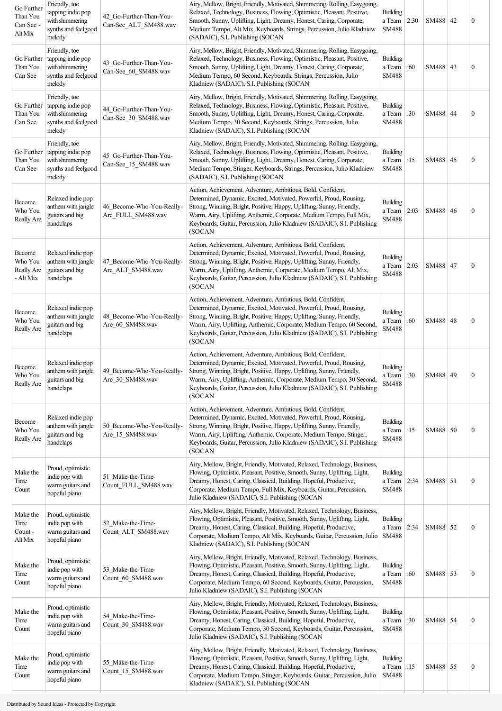| Go Further<br>Than You<br>Can See -<br>Alt Mix | Friendly, toe<br>tapping indie pop<br>with shimmering<br>synths and feelgood<br>melody | 42 Go-Further-Than-You-<br>Can-See_ALT_SM488.wav | Airy, Mellow, Bright, Friendly, Motivated, Shimmering, Rolling, Easygoing,<br>Relaxed, Technology, Business, Flowing, Optimistic, Pleasant, Positive,<br>Smooth, Sunny, Uplifting, Light, Dreamy, Honest, Caring, Corporate,<br>Medium Tempo, Alt Mix, Keyboards, Strings, Percussion, Julio Kladniew<br>(SADAIC), S.I. Publishing (SOCAN                               | <b>Building</b><br>a Team<br><b>SM488</b> | 2:30 | SM488   42 | $\boldsymbol{0}$ |
|------------------------------------------------|----------------------------------------------------------------------------------------|--------------------------------------------------|-------------------------------------------------------------------------------------------------------------------------------------------------------------------------------------------------------------------------------------------------------------------------------------------------------------------------------------------------------------------------|-------------------------------------------|------|------------|------------------|
| Go Further<br>Than You<br>Can See              | Friendly, toe<br>tapping indie pop<br>with shimmering<br>synths and feelgood<br>melody | 43_Go-Further-Than-You-<br>Can-See_60_SM488.wav  | Airy, Mellow, Bright, Friendly, Motivated, Shimmering, Rolling, Easygoing,<br>Relaxed, Technology, Business, Flowing, Optimistic, Pleasant, Positive,<br>Smooth, Sunny, Uplifting, Light, Dreamy, Honest, Caring, Corporate,<br>Medium Tempo, 60 Second, Keyboards, Strings, Percussion, Julio<br>Kladniew (SADAIC), S.I. Publishing (SOCAN                             | <b>Building</b><br>a Team<br><b>SM488</b> | :60  | SM488   43 | $\boldsymbol{0}$ |
| Go Further<br>Than You<br>Can See              | Friendly, toe<br>tapping indie pop<br>with shimmering<br>synths and feelgood<br>melody | 44 Go-Further-Than-You-<br>Can-See 30 SM488.wav  | Airy, Mellow, Bright, Friendly, Motivated, Shimmering, Rolling, Easygoing,<br>Relaxed, Technology, Business, Flowing, Optimistic, Pleasant, Positive,<br>Smooth, Sunny, Uplifting, Light, Dreamy, Honest, Caring, Corporate,<br>Medium Tempo, 30 Second, Keyboards, Strings, Percussion, Julio<br>Kladniew (SADAIC), S.I. Publishing (SOCAN                             | <b>Building</b><br>a Team<br>SM488        | :30  | SM488 44   | $\boldsymbol{0}$ |
| Go Further<br>Than You<br>Can See              | Friendly, toe<br>tapping indie pop<br>with shimmering<br>synths and feelgood<br>melody | 45 Go-Further-Than-You-<br>Can-See 15 SM488.wav  | Airy, Mellow, Bright, Friendly, Motivated, Shimmering, Rolling, Easygoing,<br>Relaxed, Technology, Business, Flowing, Optimistic, Pleasant, Positive,<br>Smooth, Sunny, Uplifting, Light, Dreamy, Honest, Caring, Corporate,<br>Medium Tempo, Stinger, Keyboards, Strings, Percussion, Julio Kladniew<br>(SADAIC), S.I. Publishing (SOCAN                               | <b>Building</b><br>a Team<br><b>SM488</b> | :15  | SM488   45 | $\boldsymbol{0}$ |
| Become<br>Who You<br>Really Are                | Relaxed indie pop<br>anthem with jangle<br>guitars and big<br>handclaps                | 46 Become-Who-You-Really-<br>Are FULL SM488.wav  | Action, Achievement, Adventure, Ambitious, Bold, Confident,<br>Determined, Dynamic, Excited, Motivated, Powerful, Proud, Rousing,<br>Strong, Winning, Bright, Positive, Happy, Uplifting, Sunny, Friendly,<br>Warm, Airy, Uplifting, Anthemic, Corporate, Medium Tempo, Full Mix,<br>Keyboards, Guitar, Percussion, Julio Kladniew (SADAIC), S.I. Publishing<br>(SOCAN  | <b>Building</b><br>a Team<br><b>SM488</b> | 2:03 | SM488   46 | $\boldsymbol{0}$ |
| Become<br>Who You<br>Really Are<br>- Alt Mix   | Relaxed indie pop<br>anthem with jangle<br>guitars and big<br>handclaps                | 47 Become-Who-You-Really-<br>Are ALT SM488.wav   | Action, Achievement, Adventure, Ambitious, Bold, Confident,<br>Determined, Dynamic, Excited, Motivated, Powerful, Proud, Rousing,<br>Strong, Winning, Bright, Positive, Happy, Uplifting, Sunny, Friendly,<br>Warm, Airy, Uplifting, Anthemic, Corporate, Medium Tempo, Alt Mix,<br>Keyboards, Guitar, Percussion, Julio Kladniew (SADAIC), S.I. Publishing<br>(SOCAN   | <b>Building</b><br>a Team<br>SM488        | 2:03 | SM488 47   | $\boldsymbol{0}$ |
| Become<br>Who You<br>Really Are                | Relaxed indie pop<br>anthem with jangle<br>guitars and big<br>handclaps                | 48 Become-Who-You-Really-<br>Are 60 SM488.wav    | Action, Achievement, Adventure, Ambitious, Bold, Confident,<br>Determined, Dynamic, Excited, Motivated, Powerful, Proud, Rousing,<br>Strong, Winning, Bright, Positive, Happy, Uplifting, Sunny, Friendly,<br>Warm, Airy, Uplifting, Anthemic, Corporate, Medium Tempo, 60 Second,<br>Keyboards, Guitar, Percussion, Julio Kladniew (SADAIC), S.I. Publishing<br>(SOCAN | <b>Building</b><br>a Team<br><b>SM488</b> | :60  | SM488 48   | $\boldsymbol{0}$ |
| Become<br>Who You<br>Really Are                | Relaxed indie pop<br>anthem with jangle<br>guitars and big<br>handclaps                | 49 Become-Who-You-Really-<br>Are_30_SM488.wav    | Action, Achievement, Adventure, Ambitious, Bold, Confident,<br>Determined, Dynamic, Excited, Motivated, Powerful, Proud, Rousing,<br>Strong, Winning, Bright, Positive, Happy, Uplifting, Sunny, Friendly,<br>Warm, Airy, Uplifting, Anthemic, Corporate, Medium Tempo, 30 Second,<br>Keyboards, Guitar, Percussion, Julio Kladniew (SADAIC), S.I. Publishing<br>(SOCAN | <b>Building</b><br>a Team<br>SM488        | :30  | SM488 49   | $\boldsymbol{0}$ |
| Become<br>Who You<br>Really Are                | Relaxed indie pop<br>anthem with jangle<br>guitars and big<br>handclaps                | 50 Become-Who-You-Really-<br>Are 15 SM488.wav    | Action, Achievement, Adventure, Ambitious, Bold, Confident,<br>Determined, Dynamic, Excited, Motivated, Powerful, Proud, Rousing,<br>Strong, Winning, Bright, Positive, Happy, Uplifting, Sunny, Friendly,<br>Warm, Airy, Uplifting, Anthemic, Corporate, Medium Tempo, Stinger,<br>Keyboards, Guitar, Percussion, Julio Kladniew (SADAIC), S.I. Publishing<br>(SOCAN   | <b>Building</b><br>a Team<br><b>SM488</b> | :15  | SM488 50   | $\boldsymbol{0}$ |
| Make the<br>Time<br>Count                      | Proud, optimistic<br>indie pop with<br>warm guitars and<br>hopeful piano               | 51_Make-the-Time-<br>Count_FULL_SM488.wav        | Airy, Mellow, Bright, Friendly, Motivated, Relaxed, Technology, Business,<br>Flowing, Optimistic, Pleasant, Positive, Smooth, Sunny, Uplifting, Light,<br>Dreamy, Honest, Caring, Classical, Building, Hopeful, Productive,<br>Corporate, Medium Tempo, Full Mix, Keyboards, Guitar, Percussion,<br>Julio Kladniew (SADAIC), S.I. Publishing (SOCAN                     | <b>Building</b><br>a Team<br>SM488        | 2:34 | SM488 51   | $\boldsymbol{0}$ |
| Make the<br>Time<br>Count -<br>Alt Mix         | Proud, optimistic<br>indie pop with<br>warm guitars and<br>hopeful piano               | 52 Make-the-Time-<br>Count_ALT_SM488.wav         | Airy, Mellow, Bright, Friendly, Motivated, Relaxed, Technology, Business,<br>Flowing, Optimistic, Pleasant, Positive, Smooth, Sunny, Uplifting, Light,<br>Dreamy, Honest, Caring, Classical, Building, Hopeful, Productive,<br>Corporate, Medium Tempo, Alt Mix, Keyboards, Guitar, Percussion, Julio<br>Kladniew (SADAIC), S.I. Publishing (SOCAN                      | <b>Building</b><br>a Team<br><b>SM488</b> | 2:34 | SM488 52   | $\boldsymbol{0}$ |
| Make the<br>Time<br>Count                      | Proud, optimistic<br>indie pop with<br>warm guitars and<br>hopeful piano               | 53 Make-the-Time-<br>Count_60_SM488.wav          | Airy, Mellow, Bright, Friendly, Motivated, Relaxed, Technology, Business,<br>Flowing, Optimistic, Pleasant, Positive, Smooth, Sunny, Uplifting, Light,<br>Dreamy, Honest, Caring, Classical, Building, Hopeful, Productive,<br>Corporate, Medium Tempo, 60 Second, Keyboards, Guitar, Percussion,<br>Julio Kladniew (SADAIC), S.I. Publishing (SOCAN                    | <b>Building</b><br>a Team<br><b>SM488</b> | :60  | SM488 53   | $\boldsymbol{0}$ |
| Make the<br>Time<br>Count                      | Proud, optimistic<br>indie pop with<br>warm guitars and<br>hopeful piano               | 54_Make-the-Time-<br>Count 30 SM488.wav          | Airy, Mellow, Bright, Friendly, Motivated, Relaxed, Technology, Business,<br>Flowing, Optimistic, Pleasant, Positive, Smooth, Sunny, Uplifting, Light,<br>Dreamy, Honest, Caring, Classical, Building, Hopeful, Productive,<br>Corporate, Medium Tempo, 30 Second, Keyboards, Guitar, Percussion,<br>Julio Kladniew (SADAIC), S.I. Publishing (SOCAN                    | <b>Building</b><br>a Team<br>SM488        | :30  | SM488 54   | $\boldsymbol{0}$ |
| Make the<br>Time<br>Count                      | Proud, optimistic<br>indie pop with<br>warm guitars and<br>hopeful piano               | 55 Make-the-Time-<br>Count_15_SM488.wav          | Airy, Mellow, Bright, Friendly, Motivated, Relaxed, Technology, Business,<br>Flowing, Optimistic, Pleasant, Positive, Smooth, Sunny, Uplifting, Light,<br>Dreamy, Honest, Caring, Classical, Building, Hopeful, Productive,<br>Corporate, Medium Tempo, Stinger, Keyboards, Guitar, Percussion, Julio<br>Kladniew (SADAIC), S.I. Publishing (SOCAN                      | <b>Building</b><br>a Team<br>SM488        | :15  | SM488 55   | $\boldsymbol{0}$ |